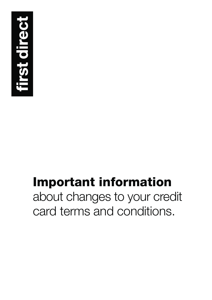

# **Important information**  about changes to your credit card terms and conditions.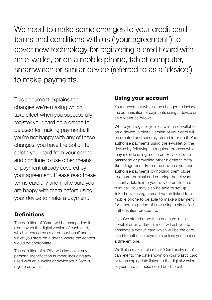We need to make some changes to your credit card terms and conditions with us ('your agreement') to cover new technology for registering a credit card with an e-wallet, or on a mobile phone, tablet computer, smartwatch or similar device (referred to as a 'device') to make payments.

This document explains the changes we're making which take effect when you successfully register your card on a device to be used for making payments. If you're not happy with any of these changes, you have the option to delete your card from your device and continue to use other means of payment already covered by your agreement. Please read these terms carefully and make sure you are happy with them before using your device to make a payment.

## **Definitions**

The definition of 'Card' will be changed so it also covers the digital version of each card, which is issued by us or on our behalf and which you store on a device where the context would be appropriate.

The definition of a 'PIN' will also cover any personal identification number, including any used with an e-wallet or device your Card is registered with.

### **Using your account**

Your agreement will also be changed to include the authorisation of payments using a device or an e-wallet as follows:

Where you register your card in an e-wallet or on a device, a digital version of your card will be created and securely stored in or on it. You authorise payments using the e-wallet or the device by following its required process which may include using a different PIN or device passcode or providing other biometric data like a fingerprint. For some devices, you can authorise payments by holding them close to a card terminal and entering the relevant security details into your device or the card terminal. You may also be able to set up linked devices eg a smart watch linked to a mobile phone to be able to make a payment for a certain period of time using a simplified authorisation procedure.

If you've stored more than one card in an e-wallet or on a device, most will ask you to nominate a default card which will be the card used to authorise payments unless you choose a different one.

We'll also make it clear that 'Card expiry date' can refer to the date shown on your plastic card or to an expiry date linked to the digital version of your card as these could be different.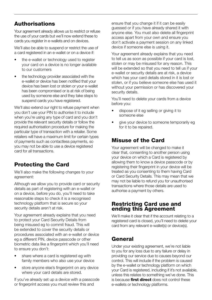# **Authorisations**

Your agreement already allows us to restrict or refuse the use of your cards but we'll now extend these to cards you register in e-wallets and on devices.

We'll also be able to suspend or restrict the use of a card registered in an e-wallet or on a device if:

- the e-wallet or technology used to register your card on a device is no longer available to our customers
- the technology provider associated with the e-wallet or device has been notified that your device has been lost or stolen or your e-wallet has been compromised or is at risk of being used by someone else and they take steps to suspend cards you have registered.

We'll also extend our right to refuse payment when you don't use your PIN to authorise it to include when you're using any type of card and you don't provide the relevant security details or follow the required authorisation procedure for making the particular type of transaction with a retailer. Some retailers will have a maximum limit for certain types of payments such as contactless payments, so you may not be able to use a device registered card for all transactions.

# **Protecting the Card**

We'll also make the following changes to your agreement:

Although we allow you to provide card or security details as part of registering with an e-wallet or on a device, before you do, you'll need to take reasonable steps to check it is a recognised technology platform that is secure so your security details aren't at risk.

Your agreement already explains that you need to protect your Card Security Details from being misused eg to commit fraud. This will be extended to cover the security details or procedures associated with an e-wallet or device eg a different PIN, device passcode or other biometric data like a fingerprint which you'll need to ensure you don't:

- share where a card is registered eg with family members who also use your device
- store anyone else's fingerprint on any device where your card details are stored.

If you've already set up a device with a passcode or fingerprint access you must review this and

ensure that you change it if it can be easily guessed or if you have already shared it with anyone else. You must also delete all fingerprint access apart from your own and ensure you don't activate a payment session on any linked device if someone else is using it.

Your agreement already explains that you need to tell us as soon as possible if your card is lost, stolen or may be misused for any reason. This will be extended so that you need to tell us if your e-wallet or security details are at risk, a device which has your card details stored in it is lost or stolen, or if you believe someone else has used it without your permission or has discovered your security details.

You'll need to delete your cards from a device before you:

- dispose of it eg selling or giving it to someone else
- give your device to someone temporarily eg for it to be repaired.

# **Misuse of the Card**

Your agreement will be changed to make it clear that, consenting to another person using your device on which a Card is registered by allowing them to know a device passcode or by registering their fingerprint in your device will be treated as you consenting to them having Card or Card Security Details. This may mean that we may not be liable to refund you for unauthorised transactions where those details are used to authorise a payment by others.

#### **Restricting Card use and ending this Agreement**

We'll make it clear that if the account relating to a registered card is closed, you'll need to delete your card from any relevant e-wallet(s) or device(s).

# **General**

Under your existing agreement, we're not liable to you for any loss due to any failure or delay in providing our service due to causes beyond our control. This will include if the problem is caused by the e-wallet or technology platform on which your Card is registered, including if it's not available, unless this relates to something we've done. This is because **first direct** does not control these e-wallets or technology platforms.